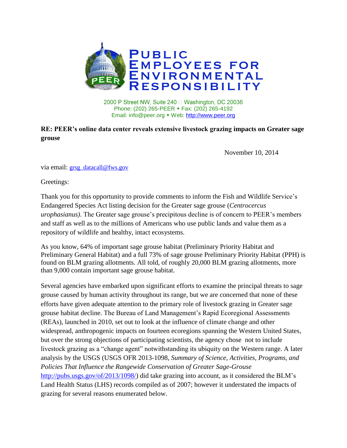

2000 P Street NW, Suite 240 □ Washington, DC 20036 Phone: (202) 265-PEER • Fax: (202) 265-4192 Email: info@peer.org • Web: [http://www.peer.org](http://www.peer.org/)

## **RE: PEER's online data center reveals extensive livestock grazing impacts on Greater sage grouse**

November 10, 2014

via email: [grsg\\_datacall@fws.gov](mailto:grsg_datacall@fws.gov)

Greetings:

Thank you for this opportunity to provide comments to inform the Fish and Wildlife Service's Endangered Species Act listing decision for the Greater sage grouse (*Centrocercus urophasianus)*. The Greater sage grouse's precipitous decline is of concern to PEER's members and staff as well as to the millions of Americans who use public lands and value them as a repository of wildlife and healthy, intact ecosystems.

As you know, 64% of important sage grouse habitat (Preliminary Priority Habitat and Preliminary General Habitat) and a full 73% of sage grouse Preliminary Priority Habitat (PPH) is found on BLM grazing allotments. All told, of roughly 20,000 BLM grazing allotments, more than 9,000 contain important sage grouse habitat.

Several agencies have embarked upon significant efforts to examine the principal threats to sage grouse caused by human activity throughout its range, but we are concerned that none of these efforts have given adequate attention to the primary role of livestock grazing in Greater sage grouse habitat decline. The Bureau of Land Management's Rapid Ecoregional Assessments (REAs), launched in 2010, set out to look at the influence of climate change and other widespread, anthropogenic impacts on fourteen ecoregions spanning the Western United States, but over the strong objections of participating scientists, the agency chose not to include livestock grazing as a "change agent" notwithstanding its ubiquity on the Western range. A later analysis by the USGS (USGS OFR 2013-1098, *Summary of Science, Activities, Programs, and Policies That Influence the Rangewide Conservation of Greater Sage-Grouse*  [http://pubs.usgs.gov/of/2013/1098/\)](http://pubs.usgs.gov/of/2013/1098/) did take grazing into account, as it considered the BLM's Land Health Status (LHS) records compiled as of 2007; however it understated the impacts of grazing for several reasons enumerated below.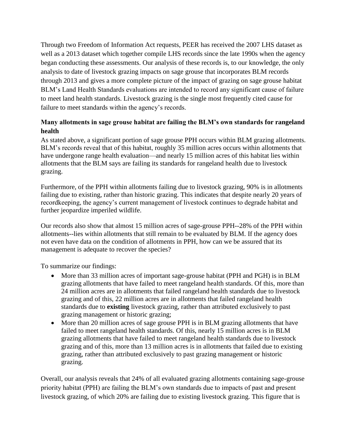Through two Freedom of Information Act requests, PEER has received the 2007 LHS dataset as well as a 2013 dataset which together compile LHS records since the late 1990s when the agency began conducting these assessments. Our analysis of these records is, to our knowledge, the only analysis to date of livestock grazing impacts on sage grouse that incorporates BLM records through 2013 and gives a more complete picture of the impact of grazing on sage grouse habitat BLM's Land Health Standards evaluations are intended to record any significant cause of failure to meet land health standards. Livestock grazing is the single most frequently cited cause for failure to meet standards within the agency's records.

## **Many allotments in sage grouse habitat are failing the BLM's own standards for rangeland health**

As stated above, a significant portion of sage grouse PPH occurs within BLM grazing allotments. BLM's records reveal that of this habitat, roughly 35 million acres occurs within allotments that have undergone range health evaluation—and nearly 15 million acres of this habitat lies within allotments that the BLM says are failing its standards for rangeland health due to livestock grazing.

Furthermore, of the PPH within allotments failing due to livestock grazing, 90% is in allotments failing due to existing, rather than historic grazing. This indicates that despite nearly 20 years of recordkeeping, the agency's current management of livestock continues to degrade habitat and further jeopardize imperiled wildlife.

Our records also show that almost 15 million acres of sage-grouse PPH--28% of the PPH within allotments--lies within allotments that still remain to be evaluated by BLM. If the agency does not even have data on the condition of allotments in PPH, how can we be assured that its management is adequate to recover the species?

To summarize our findings:

- More than 33 million acres of important sage-grouse habitat (PPH and PGH) is in BLM grazing allotments that have failed to meet rangeland health standards. Of this, more than 24 million acres are in allotments that failed rangeland health standards due to livestock grazing and of this, 22 million acres are in allotments that failed rangeland health standards due to **existing** livestock grazing, rather than attributed exclusively to past grazing management or historic grazing;
- More than 20 million acres of sage grouse PPH is in BLM grazing allotments that have failed to meet rangeland health standards. Of this, nearly 15 million acres is in BLM grazing allotments that have failed to meet rangeland health standards due to livestock grazing and of this, more than 13 million acres is in allotments that failed due to existing grazing, rather than attributed exclusively to past grazing management or historic grazing.

Overall, our analysis reveals that 24% of all evaluated grazing allotments containing sage-grouse priority habitat (PPH) are failing the BLM's own standards due to impacts of past and present livestock grazing, of which 20% are failing due to existing livestock grazing. This figure that is